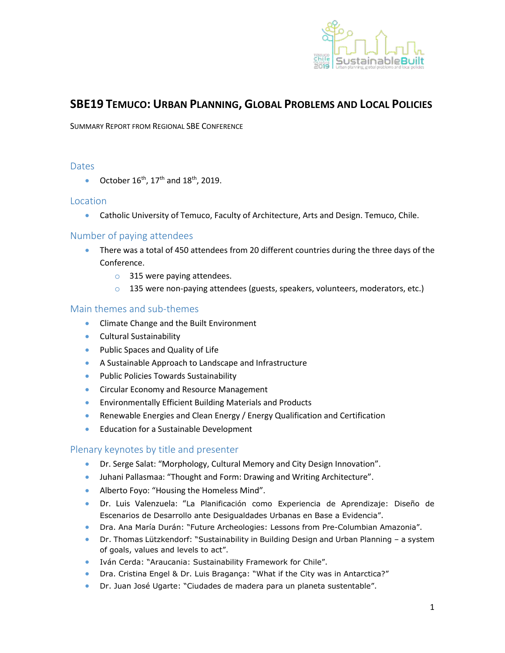

# **SBE19 TEMUCO: URBAN PLANNING, GLOBAL PROBLEMS AND LOCAL POLICIES**

SUMMARY REPORT FROM REGIONAL SBE CONFERENCE

## **Dates**

October  $16<sup>th</sup>$ ,  $17<sup>th</sup>$  and  $18<sup>th</sup>$ , 2019.

## Location

Catholic University of Temuco, Faculty of Architecture, Arts and Design. Temuco, Chile.

## Number of paying attendees

- There was a total of 450 attendees from 20 different countries during the three days of the Conference.
	- o 315 were paying attendees.
	- $\circ$  135 were non-paying attendees (guests, speakers, volunteers, moderators, etc.)

## Main themes and sub-themes

- **•** Climate Change and the Built Environment
- **•** Cultural Sustainability
- Public Spaces and Quality of Life
- A Sustainable Approach to Landscape and Infrastructure
- Public Policies Towards Sustainability
- **Circular Economy and Resource Management**
- Environmentally Efficient Building Materials and Products
- Renewable Energies and Clean Energy / Energy Qualification and Certification
- Education for a Sustainable Development

### Plenary keynotes by title and presenter

- Dr. Serge Salat: "Morphology, Cultural Memory and City Design Innovation".
- Juhani Pallasmaa: "Thought and Form: Drawing and Writing Architecture".
- Alberto Foyo: "Housing the Homeless Mind".
- Dr. Luis Valenzuela: "La Planificación como Experiencia de Aprendizaje: Diseño de Escenarios de Desarrollo ante Desigualdades Urbanas en Base a Evidencia".
- Dra. Ana María Durán: "Future Archeologies: Lessons from Pre-Columbian Amazonia".
- Dr. Thomas Lützkendorf: "Sustainability in Building Design and Urban Planning a system of goals, values and levels to act".
- Iván Cerda: "Araucania: Sustainability Framework for Chile".
- Dra. Cristina Engel & Dr. Luis Bragança: "What if the City was in Antarctica?"
- Dr. Juan José Ugarte: "Ciudades de madera para un planeta sustentable".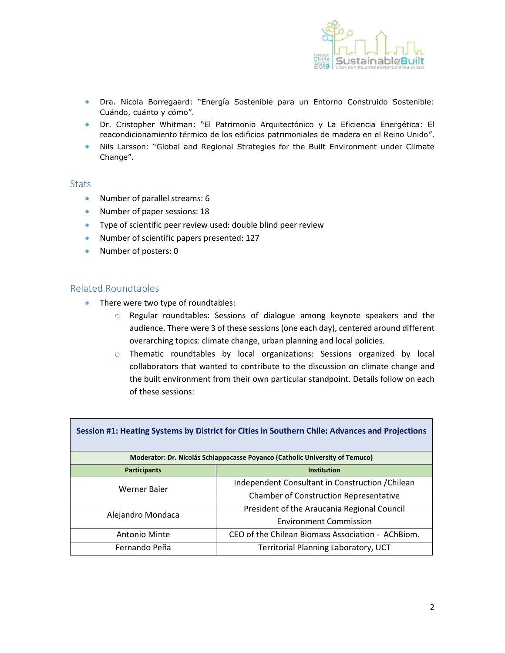

- Dra. Nicola Borregaard: "Energía Sostenible para un Entorno Construido Sostenible: Cuándo, cuánto y cómo".
- Dr. Cristopher Whitman: "El Patrimonio Arquitectónico y La Eficiencia Energética: El reacondicionamiento térmico de los edificios patrimoniales de madera en el Reino Unido".
- Nils Larsson: "Global and Regional Strategies for the Built Environment under Climate Change".

#### **Stats**

- Number of parallel streams: 6
- Number of paper sessions: 18
- Type of scientific peer review used: double blind peer review
- Number of scientific papers presented: 127
- Number of posters: 0

#### Related Roundtables

- There were two type of roundtables:
	- o Regular roundtables: Sessions of dialogue among keynote speakers and the audience. There were 3 of these sessions (one each day), centered around different overarching topics: climate change, urban planning and local policies.
	- o Thematic roundtables by local organizations: Sessions organized by local collaborators that wanted to contribute to the discussion on climate change and the built environment from their own particular standpoint. Details follow on each of these sessions:

| Session #1: Heating Systems by District for Cities in Southern Chile: Advances and Projections |                                                   |  |
|------------------------------------------------------------------------------------------------|---------------------------------------------------|--|
| Moderator: Dr. Nicolás Schiappacasse Poyanco (Catholic University of Temuco)                   |                                                   |  |
| <b>Participants</b>                                                                            | <b>Institution</b>                                |  |
| Werner Baier                                                                                   | Independent Consultant in Construction / Chilean  |  |
|                                                                                                | <b>Chamber of Construction Representative</b>     |  |
| Alejandro Mondaca                                                                              | President of the Araucania Regional Council       |  |
|                                                                                                | <b>Environment Commission</b>                     |  |
| <b>Antonio Minte</b>                                                                           | CEO of the Chilean Biomass Association - AChBiom. |  |
| Fernando Peña                                                                                  | <b>Territorial Planning Laboratory, UCT</b>       |  |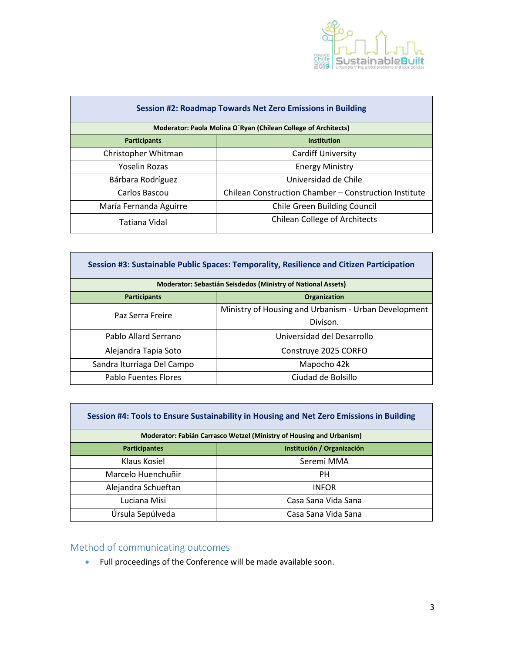

| <b>Session #2: Roadmap Towards Net Zero Emissions in Building</b> |                                                       |  |
|-------------------------------------------------------------------|-------------------------------------------------------|--|
| Moderator: Paola Molina O'Ryan (Chilean College of Architects)    |                                                       |  |
| <b>Participants</b>                                               | <b>Institution</b>                                    |  |
| Christopher Whitman                                               | <b>Cardiff University</b>                             |  |
| Yoselin Rozas                                                     | <b>Energy Ministry</b>                                |  |
| Bárbara Rodríguez                                                 | Universidad de Chile                                  |  |
| Carlos Bascou                                                     | Chilean Construction Chamber - Construction Institute |  |
| María Fernanda Aguirre                                            | <b>Chile Green Building Council</b>                   |  |
| Tatiana Vidal                                                     | <b>Chilean College of Architects</b>                  |  |

| Session #3: Sustainable Public Spaces: Temporality, Resilience and Citizen Participation |                                                      |  |
|------------------------------------------------------------------------------------------|------------------------------------------------------|--|
| Moderator: Sebastián Seisdedos (Ministry of National Assets)                             |                                                      |  |
| <b>Participants</b>                                                                      | <b>Organization</b>                                  |  |
| Paz Serra Freire                                                                         | Ministry of Housing and Urbanism - Urban Development |  |
|                                                                                          | Divison.                                             |  |
| Pablo Allard Serrano                                                                     | Universidad del Desarrollo                           |  |
| Alejandra Tapia Soto                                                                     | Construye 2025 CORFO                                 |  |
| Sandra Iturriaga Del Campo                                                               | Mapocho 42k                                          |  |
| <b>Pablo Fuentes Flores</b>                                                              | Ciudad de Bolsillo                                   |  |

| Session #4: Tools to Ensure Sustainability in Housing and Net Zero Emissions in Building |                            |  |
|------------------------------------------------------------------------------------------|----------------------------|--|
| Moderator: Fabián Carrasco Wetzel (Ministry of Housing and Urbanism)                     |                            |  |
| <b>Participantes</b>                                                                     | Institución / Organización |  |
| Klaus Kosiel                                                                             | Seremi MMA                 |  |
| Marcelo Huenchuñir                                                                       | PН                         |  |
| Alejandra Schueftan                                                                      | <b>INFOR</b>               |  |
| Luciana Misi                                                                             | Casa Sana Vida Sana        |  |
| Úrsula Sepúlveda                                                                         | Casa Sana Vida Sana        |  |

# Method of communicating outcomes

**In** 

Full proceedings of the Conference will be made available soon.